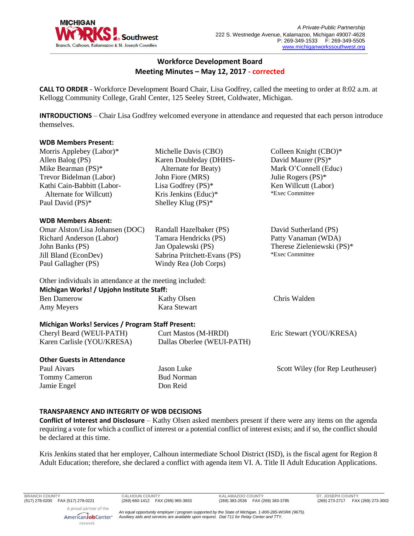

# **Workforce Development Board Meeting Minutes – May 12, 2017 - corrected**

**CALL TO ORDER** - Workforce Development Board Chair, Lisa Godfrey, called the meeting to order at 8:02 a.m. at Kellogg Community College, Grahl Center, 125 Seeley Street, Coldwater, Michigan.

**INTRODUCTIONS** – Chair Lisa Godfrey welcomed everyone in attendance and requested that each person introduce themselves.

#### **WDB Members Present:**

| Morris Applebey (Labor)*<br>Allen Balog (PS)             | Michelle Davis (CBO)<br>Karen Doubleday (DHHS- | Colleen Knight (CBO)*<br>David Maurer (PS)* |
|----------------------------------------------------------|------------------------------------------------|---------------------------------------------|
| Mike Bearman (PS)*<br>Trevor Bidelman (Labor)            | Alternate for Beaty)<br>John Fiore (MRS)       | Mark O'Connell (Educ)<br>Julie Rogers (PS)* |
| Kathi Cain-Babbitt (Labor-                               | Lisa Godfrey $(PS)^*$                          | Ken Willcutt (Labor)                        |
| Alternate for Willcutt)                                  | Kris Jenkins (Educ)*                           | *Exec Committee                             |
| Paul David (PS)*                                         | Shelley Klug (PS)*                             |                                             |
| <b>WDB Members Absent:</b>                               |                                                |                                             |
| Omar Alston/Lisa Johansen (DOC)                          | Randall Hazelbaker (PS)                        | David Sutherland (PS)                       |
| Richard Anderson (Labor)                                 | Tamara Hendricks (PS)                          | Patty Vanaman (WDA)                         |
| John Banks (PS)                                          | Jan Opalewski (PS)                             | Therese Zieleniewski (PS)*                  |
| Jill Bland (EconDev)                                     | Sabrina Pritchett-Evans (PS)                   | *Exec Committee                             |
| Paul Gallagher (PS)                                      | Windy Rea (Job Corps)                          |                                             |
| Other individuals in attendance at the meeting included: |                                                |                                             |
| Michigan Works! / Upjohn Institute Staff:                |                                                |                                             |
| <b>Ben Damerow</b>                                       | <b>Kathy Olsen</b>                             | Chris Walden                                |
| Amy Meyers                                               | Kara Stewart                                   |                                             |
| Michigan Works! Services / Program Staff Present:        |                                                |                                             |
| Cheryl Beard (WEUI-PATH)                                 | <b>Curt Mastos (M-HRDI)</b>                    | Eric Stewart (YOU/KRESA)                    |
| Karen Carlisle (YOU/KRESA)                               | Dallas Oberlee (WEUI-PATH)                     |                                             |
| <b>Other Guests in Attendance</b>                        |                                                |                                             |
| Paul Aivars                                              | Jason Luke                                     | Scott Wiley (for Rep Leutheuser)            |
| <b>Tommy Cameron</b>                                     | <b>Bud Norman</b>                              |                                             |
| Jamie Engel                                              | Don Reid                                       |                                             |
|                                                          |                                                |                                             |

# **TRANSPARENCY AND INTEGRITY OF WDB DECISIONS**

**Conflict of Interest and Disclosure** – Kathy Olsen asked members present if there were any items on the agenda requiring a vote for which a conflict of interest or a potential conflict of interest exists; and if so, the conflict should be declared at this time.

Kris Jenkins stated that her employer, Calhoun intermediate School District (ISD), is the fiscal agent for Region 8 Adult Education; therefore, she declared a conflict with agenda item VI. A. Title II Adult Education Applications.

**BRANCH COUNTY CALHOUN COUNTY KALAMAZOO COUNTY ST. JOSEPH COUNTY**

AmericanJobCenter<sup>®</sup> network

*An equal opportunity employer / program supported by the State of Michigan. 1-800-285-WORK (9675). Auxiliary aids and services are available upon request. Dial 711 for Relay Center and TTY.*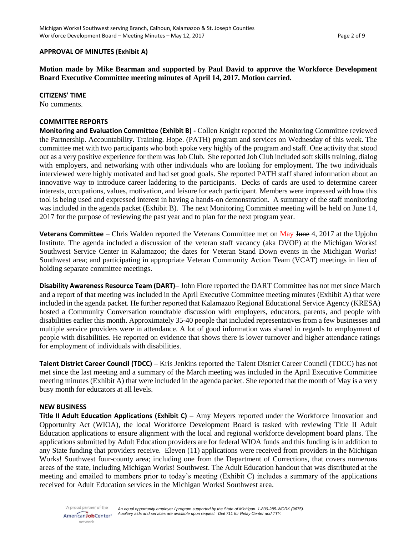#### **APPROVAL OF MINUTES (Exhibit A)**

**Motion made by Mike Bearman and supported by Paul David to approve the Workforce Development Board Executive Committee meeting minutes of April 14, 2017. Motion carried.** 

#### **CITIZENS' TIME**

No comments.

#### **COMMITTEE REPORTS**

**Monitoring and Evaluation Committee (Exhibit B) -** Collen Knight reported the Monitoring Committee reviewed the Partnership. Accountability. Training. Hope. (PATH) program and services on Wednesday of this week. The committee met with two participants who both spoke very highly of the program and staff. One activity that stood out as a very positive experience for them was Job Club. She reported Job Club included soft skills training, dialog with employers, and networking with other individuals who are looking for employment. The two individuals interviewed were highly motivated and had set good goals. She reported PATH staff shared information about an innovative way to introduce career laddering to the participants. Decks of cards are used to determine career interests, occupations, values, motivation, and leisure for each participant. Members were impressed with how this tool is being used and expressed interest in having a hands-on demonstration. A summary of the staff monitoring was included in the agenda packet (Exhibit B). The next Monitoring Committee meeting will be held on June 14, 2017 for the purpose of reviewing the past year and to plan for the next program year.

**Veterans Committee** – Chris Walden reported the Veterans Committee met on May June 4, 2017 at the Upjohn Institute. The agenda included a discussion of the veteran staff vacancy (aka DVOP) at the Michigan Works! Southwest Service Center in Kalamazoo; the dates for Veteran Stand Down events in the Michigan Works! Southwest area; and participating in appropriate Veteran Community Action Team (VCAT) meetings in lieu of holding separate committee meetings.

**Disability Awareness Resource Team (DART)**– John Fiore reported the DART Committee has not met since March and a report of that meeting was included in the April Executive Committee meeting minutes (Exhibit A) that were included in the agenda packet. He further reported that Kalamazoo Regional Educational Service Agency (KRESA) hosted a Community Conversation roundtable discussion with employers, educators, parents, and people with disabilities earlier this month. Approximately 35-40 people that included representatives from a few businesses and multiple service providers were in attendance. A lot of good information was shared in regards to employment of people with disabilities. He reported on evidence that shows there is lower turnover and higher attendance ratings for employment of individuals with disabilities.

**Talent District Career Council (TDCC)** – Kris Jenkins reported the Talent District Career Council (TDCC) has not met since the last meeting and a summary of the March meeting was included in the April Executive Committee meeting minutes (Exhibit A) that were included in the agenda packet. She reported that the month of May is a very busy month for educators at all levels.

#### **NEW BUSINESS**

**Title II Adult Education Applications (Exhibit C)** – Amy Meyers reported under the Workforce Innovation and Opportunity Act (WIOA), the local Workforce Development Board is tasked with reviewing Title II Adult Education applications to ensure alignment with the local and regional workforce development board plans. The applications submitted by Adult Education providers are for federal WIOA funds and this funding is in addition to any State funding that providers receive. Eleven (11) applications were received from providers in the Michigan Works! Southwest four-county area; including one from the Department of Corrections, that covers numerous areas of the state, including Michigan Works! Southwest. The Adult Education handout that was distributed at the meeting and emailed to members prior to today's meeting (Exhibit C) includes a summary of the applications received for Adult Education services in the Michigan Works! Southwest area.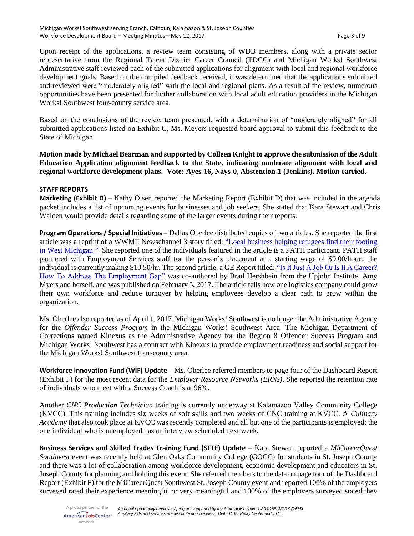Upon receipt of the applications, a review team consisting of WDB members, along with a private sector representative from the Regional Talent District Career Council (TDCC) and Michigan Works! Southwest Administrative staff reviewed each of the submitted applications for alignment with local and regional workforce development goals. Based on the compiled feedback received, it was determined that the applications submitted and reviewed were "moderately aligned" with the local and regional plans. As a result of the review, numerous opportunities have been presented for further collaboration with local adult education providers in the Michigan Works! Southwest four-county service area.

Based on the conclusions of the review team presented, with a determination of "moderately aligned" for all submitted applications listed on Exhibit C, Ms. Meyers requested board approval to submit this feedback to the State of Michigan.

**Motion made by Michael Bearman and supported by Colleen Knight to approve the submission of the Adult Education Application alignment feedback to the State, indicating moderate alignment with local and regional workforce development plans. Vote: Ayes-16, Nays-0, Abstention-1 (Jenkins). Motion carried.**

# **STAFF REPORTS**

**Marketing (Exhibit D)** – Kathy Olsen reported the Marketing Report (Exhibit D) that was included in the agenda packet includes a list of upcoming events for businesses and job seekers. She stated that Kara Stewart and Chris Walden would provide details regarding some of the larger events during their reports.

**Program Operations / Special Initiatives** – Dallas Oberlee distributed copies of two articles. She reported the first article was a reprint of a WWMT Newschannel 3 story titled: ["Local business helping refugees find their footing](http://wwmt.com/news/local/local-business-helping-refugees-find-their-footing-in-west-michigan)  [in West Michigan."](http://wwmt.com/news/local/local-business-helping-refugees-find-their-footing-in-west-michigan) She reported one of the individuals featured in the article is a PATH participant. PATH staff partnered with Employment Services staff for the person's placement at a starting wage of \$9.00/hour.; the individual is currently making \$10.50/hr. The second article, a GE Report titled: ["Is It Just A Job Or Is It A](http://www.gereports.com/just-job-career-address-employment-gap/) Career? [How To Address The Employment Gap"](http://www.gereports.com/just-job-career-address-employment-gap/) was co-authored by Brad Hershbein from the Upjohn Institute, Amy Myers and herself, and was published on February 5, 2017. The article tells how one logistics company could grow their own workforce and reduce turnover by helping employees develop a clear path to grow within the organization.

Ms. Oberlee also reported as of April 1, 2017, Michigan Works! Southwest is no longer the Administrative Agency for the *Offender Success Program* in the Michigan Works! Southwest Area. The Michigan Department of Corrections named Kinexus as the Administrative Agency for the Region 8 Offender Success Program and Michigan Works! Southwest has a contract with Kinexus to provide employment readiness and social support for the Michigan Works! Southwest four-county area.

**Workforce Innovation Fund (WIF) Update** – Ms. Oberlee referred members to page four of the Dashboard Report (Exhibit F) for the most recent data for the *Employer Resource Networks (ERNs)*. She reported the retention rate of individuals who meet with a Success Coach is at 96%.

Another *CNC Production Technician* training is currently underway at Kalamazoo Valley Community College (KVCC). This training includes six weeks of soft skills and two weeks of CNC training at KVCC. A *Culinary Academy* that also took place at KVCC was recently completed and all but one of the participants is employed; the one individual who is unemployed has an interview scheduled next week.

**Business Services and Skilled Trades Training Fund (STTF) Update** – Kara Stewart reported a *MiCareerQuest Southwest* event was recently held at Glen Oaks Community College (GOCC) for students in St. Joseph County and there was a lot of collaboration among workforce development, economic development and educators in St. Joseph County for planning and holding this event. She referred members to the data on page four of the Dashboard Report (Exhibit F) for the MiCareerQuest Southwest St. Joseph County event and reported 100% of the employers surveyed rated their experience meaningful or very meaningful and 100% of the employers surveyed stated they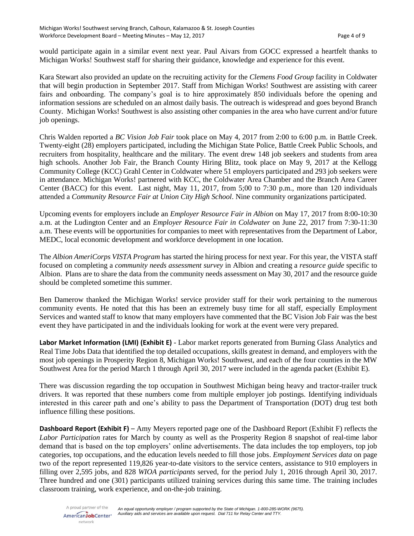would participate again in a similar event next year. Paul Aivars from GOCC expressed a heartfelt thanks to Michigan Works! Southwest staff for sharing their guidance, knowledge and experience for this event.

Kara Stewart also provided an update on the recruiting activity for the *Clemens Food Group* facility in Coldwater that will begin production in September 2017. Staff from Michigan Works! Southwest are assisting with career fairs and onboarding. The company's goal is to hire approximately 850 individuals before the opening and information sessions are scheduled on an almost daily basis. The outreach is widespread and goes beyond Branch County. Michigan Works! Southwest is also assisting other companies in the area who have current and/or future job openings.

Chris Walden reported a *BC Vision Job Fair* took place on May 4, 2017 from 2:00 to 6:00 p.m. in Battle Creek. Twenty-eight (28) employers participated, including the Michigan State Police, Battle Creek Public Schools, and recruiters from hospitality, healthcare and the military. The event drew 148 job seekers and students from area high schools. Another Job Fair, the Branch County Hiring Blitz, took place on May 9, 2017 at the Kellogg Community College (KCC) Grahl Center in Coldwater where 51 employers participated and 293 job seekers were in attendance. Michigan Works! partnered with KCC, the Coldwater Area Chamber and the Branch Area Career Center (BACC) for this event. Last night, May 11, 2017, from 5;00 to 7:30 p.m., more than 120 individuals attended a *Community Resource Fair at Union City High School*. Nine community organizations participated.

Upcoming events for employers include an *Employer Resource Fair in Albion* on May 17, 2017 from 8:00-10:30 a.m. at the Ludington Center and an *Employer Resource Fair in Coldwater* on June 22, 2017 from 7:30-11:30 a.m. These events will be opportunities for companies to meet with representatives from the Department of Labor, MEDC, local economic development and workforce development in one location.

The *Albion AmeriCorps VISTA Program* has started the hiring process for next year. For this year, the VISTA staff focused on completing a *community needs assessment survey* in Albion and creating a *resource guide* specific to Albion. Plans are to share the data from the community needs assessment on May 30, 2017 and the resource guide should be completed sometime this summer.

Ben Damerow thanked the Michigan Works! service provider staff for their work pertaining to the numerous community events. He noted that this has been an extremely busy time for all staff, especially Employment Services and wanted staff to know that many employers have commented that the BC Vision Job Fair was the best event they have participated in and the individuals looking for work at the event were very prepared.

**Labor Market Information (LMI) (Exhibit E)** - Labor market reports generated from Burning Glass Analytics and Real Time Jobs Data that identified the top detailed occupations, skills greatest in demand, and employers with the most job openings in Prosperity Region 8, Michigan Works! Southwest, and each of the four counties in the MW Southwest Area for the period March 1 through April 30, 2017 were included in the agenda packet (Exhibit E).

There was discussion regarding the top occupation in Southwest Michigan being heavy and tractor-trailer truck drivers. It was reported that these numbers come from multiple employer job postings. Identifying individuals interested in this career path and one's ability to pass the Department of Transportation (DOT) drug test both influence filling these positions.

**Dashboard Report (Exhibit F)** – Amy Meyers reported page one of the Dashboard Report (Exhibit F) reflects the *Labor Participation* rates for March by county as well as the Prosperity Region 8 snapshot of real-time labor demand that is based on the top employers' online advertisements. The data includes the top employers, top job categories, top occupations, and the education levels needed to fill those jobs. *Employment Services data* on page two of the report represented 119,826 year-to-date visitors to the service centers, assistance to 910 employers in filling over 2,595 jobs, and 828 *WIOA participants* served, for the period July 1, 2016 through April 30, 2017. Three hundred and one (301) participants utilized training services during this same time. The training includes classroom training, work experience, and on-the-job training.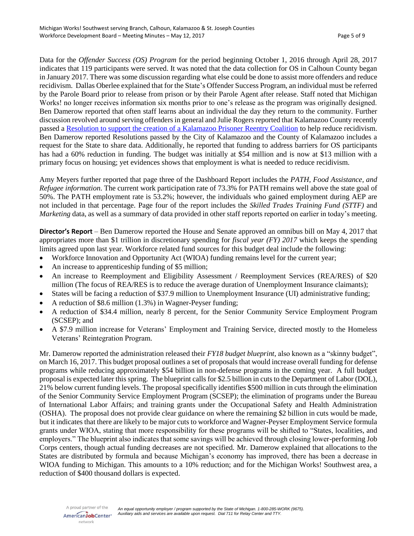Data for the *Offender Success (OS) Program* for the period beginning October 1, 2016 through April 28, 2017 indicates that 119 participants were served. It was noted that the data collection for OS in Calhoun County began in January 2017. There was some discussion regarding what else could be done to assist more offenders and reduce recidivism. Dallas Oberlee explained that for the State's Offender Success Program, an individual must be referred by the Parole Board prior to release from prison or by their Parole Agent after release. Staff noted that Michigan Works! no longer receives information six months prior to one's release as the program was originally designed. Ben Damerow reported that often staff learns about an individual the day they return to the community. Further discussion revolved around serving offenders in general and Julie Rogers reported that Kalamazoo County recently passed a [Resolution to support the creation of a Kalamazoo Prisoner Reentry Coalition](https://www.scribd.com/document/345533312/4-18-17-Prisoner-Reentry-Coalition#from_embed) to help reduce recidivism. Ben Damerow reported Resolutions passed by the City of Kalamazoo and the County of Kalamazoo includes a request for the State to share data. Additionally, he reported that funding to address barriers for OS participants has had a 60% reduction in funding. The budget was initially at \$54 million and is now at \$13 million with a primary focus on housing; yet evidences shows that employment is what is needed to reduce recidivism.

Amy Meyers further reported that page three of the Dashboard Report includes the *PATH, Food Assistance, and Refugee information*. The current work participation rate of 73.3% for PATH remains well above the state goal of 50%. The PATH employment rate is 53.2%; however, the individuals who gained employment during AEP are not included in that percentage. Page four of the report includes the *Skilled Trades Training Fund (STTF)* and *Marketing* data, as well as a summary of data provided in other staff reports reported on earlier in today's meeting.

**Director's Report** – Ben Damerow reported the House and Senate approved an omnibus bill on May 4, 2017 that appropriates more than \$1 trillion in discretionary spending for *fiscal year (FY) 2017* which keeps the spending limits agreed upon last year. Workforce related fund sources for this budget deal include the following:

- Workforce Innovation and Opportunity Act (WIOA) funding remains level for the current year;
- An increase to apprenticeship funding of \$5 million;
- An increase to Reemployment and Eligibility Assessment / Reemployment Services (REA/RES) of \$20 million (The focus of REA/RES is to reduce the average duration of Unemployment Insurance claimants);
- States will be facing a reduction of \$37.9 million to Unemployment Insurance (UI) administrative funding;
- A reduction of \$8.6 million (1.3%) in Wagner-Peyser funding;
- A reduction of \$34.4 million, nearly 8 percent, for the Senior Community Service Employment Program (SCSEP); and
- A \$7.9 million increase for Veterans' Employment and Training Service, directed mostly to the Homeless Veterans' Reintegration Program.

Mr. Damerow reported the administration released their *FY18 budget blueprint*, also known as a "skinny budget", on March 16, 2017. This budget proposal outlines a set of proposals that would increase overall funding for defense programs while reducing approximately \$54 billion in non-defense programs in the coming year. A full budget proposal is expected later this spring. The blueprint calls for \$2.5 billion in cuts to the Department of Labor (DOL), 21% below current funding levels. The proposal specifically identifies \$500 million in cuts through the elimination of the Senior Community Service Employment Program (SCSEP); the elimination of programs under the Bureau of International Labor Affairs; and training grants under the Occupational Safety and Health Administration (OSHA). The proposal does not provide clear guidance on where the remaining \$2 billion in cuts would be made, but it indicates that there are likely to be major cuts to workforce and Wagner-Peyser Employment Service formula grants under WIOA, stating that more responsibility for these programs will be shifted to "States, localities, and employers." The blueprint also indicates that some savings will be achieved through closing lower-performing Job Corps centers, though actual funding decreases are not specified. Mr. Damerow explained that allocations to the States are distributed by formula and because Michigan's economy has improved, there has been a decrease in WIOA funding to Michigan. This amounts to a 10% reduction; and for the Michigan Works! Southwest area, a reduction of \$400 thousand dollars is expected.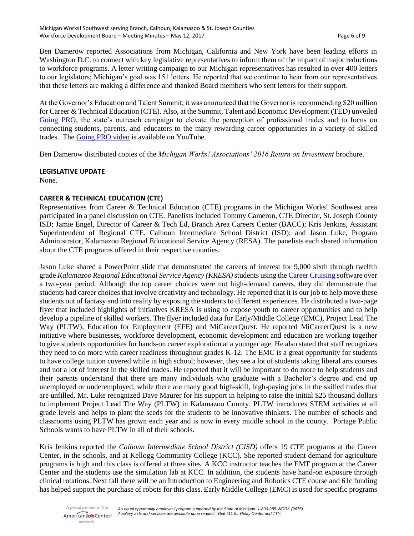Ben Damerow reported Associations from Michigan, California and New York have been leading efforts in Washington D.C. to connect with key legislative representatives to inform them of the impact of major reductions to workforce programs. A letter writing campaign to our Michigan representatives has resulted in over 400 letters to our legislators; Michigan's goal was 151 letters. He reported that we continue to hear from our representatives that these letters are making a difference and thanked Board members who sent letters for their support.

At the Governor's Education and Talent Summit, it was announced that the Governor is recommending \$20 million for Career & Technical Education (CTE). Also, at the Summit, Talent and Economic Development (TED) unveiled [Going PRO,](http://www.mitalent.org/skilled-trades) the state's outreach campaign to elevate the perception of professional trades and to focus on connecting students, parents, and educators to the many rewarding career opportunities in a variety of skilled trades. The [Going PRO video](https://www.youtube.com/watch?v=IMg6I2BikPo&feature=youtu.be) is available on YouTube.

Ben Damerow distributed copies of the *Michigan Works! Associations' 2016 Return on Investment* brochure.

# **LEGISLATIVE UPDATE**

None.

# **CAREER & TECHNICAL EDUCATION (CTE)**

Representatives from Career & Technical Education (CTE) programs in the Michigan Works! Southwest area participated in a panel discussion on CTE. Panelists included Tommy Cameron, CTE Director, St. Joseph County ISD; Jamie Engel, Director of Career & Tech Ed, Branch Area Careers Center (BACC); Kris Jenkins, Assistant Superintendent of Regional CTE, Calhoun Intermediate School District (ISD); and Jason Luke, Program Administrator, Kalamazoo Regional Educational Service Agency (RESA). The panelists each shared information about the CTE programs offered in their respective counties.

Jason Luke shared a PowerPoint slide that demonstrated the careers of interest for 9,000 sixth through twelfth grade *Kalamazoo Regional Educational Service Agency (KRESA)*students using the [Career Cruising](https://public.careercruising.com/en/) software over a two-year period. Although the top career choices were not high-demand careers, they did demonstrate that students had career choices that involve creativity and technology. He reported that it is our job to help move these students out of fantasy and into reality by exposing the students to different experiences. He distributed a two-page flyer that included highlights of initiatives KRESA is using to expose youth to career opportunities and to help develop a pipeline of skilled workers. The flyer included data for Early/Middle College (EMC), Project Lead The Way (PLTW), Education for Employment (EFE) and MiCareerQuest. He reported MiCareerQuest is a new initiative where businesses, workforce development, economic development and education are working together to give students opportunities for hands-on career exploration at a younger age. He also stated that staff recognizes they need to do more with career readiness throughout grades K-12. The EMC is a great opportunity for students to have college tuition covered while in high school; however, they see a lot of students taking liberal arts courses and not a lot of interest in the skilled trades. He reported that it will be important to do more to help students and their parents understand that there are many individuals who graduate with a Bachelor's degree and end up unemployed or underemployed, while there are many good high-skill, high-paying jobs in the skilled trades that are unfilled. Mr. Luke recognized Dave Maurer for his support in helping to raise the initial \$25 thousand dollars to implement Project Lead The Way (PLTW) in Kalamazoo County. PLTW introduces STEM activities at all grade levels and helps to plant the seeds for the students to be innovative thinkers. The number of schools and classrooms using PLTW has grown each year and is now in every middle school in the county. Portage Public Schools wants to have PLTW in all of their schools.

Kris Jenkins reported the *Calhoun Intermediate School District (CISD)* offers 19 CTE programs at the Career Center, in the schools, and at Kellogg Community College (KCC). She reported student demand for agriculture programs is high and this class is offered at three sites. A KCC instructor teaches the EMT program at the Career Center and the students use the simulation lab at KCC. In addition, the students have hand-on exposure through clinical rotations. Next fall there will be an Introduction to Engineering and Robotics CTE course and 61c funding has helped support the purchase of robots for this class. Early Middle College (EMC) is used for specific programs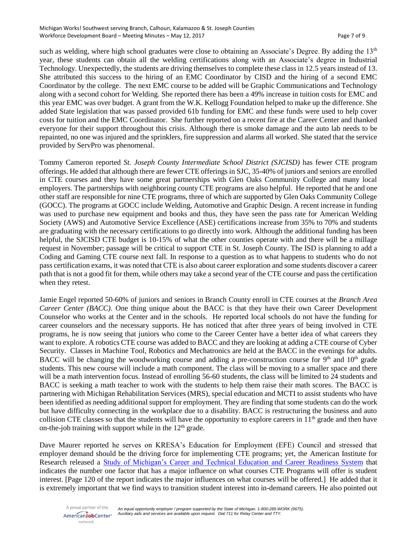such as welding, where high school graduates were close to obtaining an Associate's Degree. By adding the  $13<sup>th</sup>$ year, these students can obtain all the welding certifications along with an Associate's degree in Industrial Technology. Unexpectedly, the students are driving themselves to complete these class in 12.5 years instead of 13. She attributed this success to the hiring of an EMC Coordinator by CISD and the hiring of a second EMC Coordinator by the college. The next EMC course to be added will be Graphic Communications and Technology along with a second cohort for Welding. She reported there has been a 49% increase in tuition costs for EMC and this year EMC was over budget. A grant from the W.K. Kellogg Foundation helped to make up the difference. She added State legislation that was passed provided 61b funding for EMC and these funds were used to help cover costs for tuition and the EMC Coordinator. She further reported on a recent fire at the Career Center and thanked everyone for their support throughout this crisis. Although there is smoke damage and the auto lab needs to be repainted, no one was injured and the sprinklers, fire suppression and alarms all worked. She stated that the service provided by ServPro was phenomenal.

Tommy Cameron reported *St. Joseph County Intermediate School District (SJCISD)* has fewer CTE program offerings. He added that although there are fewer CTE offerings in SJC, 35-40% of juniors and seniors are enrolled in CTE courses and they have some great partnerships with Glen Oaks Community College and many local employers. The partnerships with neighboring county CTE programs are also helpful. He reported that he and one other staff are responsible for nine CTE programs, three of which are supported by Glen Oaks Community College (GOCC). The programs at GOCC include Welding, Automotive and Graphic Design. A recent increase in funding was used to purchase new equipment and books and thus, they have seen the pass rate for American Welding Society (AWS) and Automotive Service Excellence (ASE) certifications increase from 35% to 70% and students are graduating with the necessary certifications to go directly into work. Although the additional funding has been helpful, the SJCISD CTE budget is 10-15% of what the other counties operate with and there will be a millage request in November; passage will be critical to support CTE in St. Joseph County. The ISD is planning to add a Coding and Gaming CTE course next fall. In response to a question as to what happens to students who do not pass certification exams, it was noted that CTE is also about career exploration and some students discover a career path that is not a good fit for them, while others may take a second year of the CTE course and pass the certification when they retest.

Jamie Engel reported 50-60% of juniors and seniors in Branch County enroll in CTE courses at the *Branch Area Career Center (BACC)*. One thing unique about the BACC is that they have their own Career Development Counselor who works at the Center and in the schools. He reported local schools do not have the funding for career counselors and the necessary supports. He has noticed that after three years of being involved in CTE programs, he is now seeing that juniors who come to the Career Center have a better idea of what careers they want to explore. A robotics CTE course was added to BACC and they are looking at adding a CTE course of Cyber Security. Classes in Machine Tool, Robotics and Mechatronics are held at the BACC in the evenings for adults. BACC will be changing the woodworking course and adding a pre-construction course for  $9<sup>th</sup>$  and  $10<sup>th</sup>$  grade students. This new course will include a math component. The class will be moving to a smaller space and there will be a math intervention focus. Instead of enrolling 56-60 students, the class will be limited to 24 students and BACC is seeking a math teacher to work with the students to help them raise their math scores. The BACC is partnering with Michigan Rehabilitation Services (MRS), special education and MCTI to assist students who have been identified as needing additional support for employment. They are finding that some students can do the work but have difficulty connecting in the workplace due to a disability. BACC is restructuring the business and auto collision CTE classes so that the students will have the opportunity to explore careers in  $11<sup>th</sup>$  grade and then have on-the-job training with support while in the  $12<sup>th</sup>$  grade.

Dave Maurer reported he serves on KRESA's Education for Employment (EFE) Council and stressed that employer demand should be the driving force for implementing CTE programs; yet, the American Institute for Research released a [Study of Michigan's Career and Technical Education and Career Readiness System](http://files.airws.org/report/16-6091_MI_CTE_Rpt.pdf) that indicates the number one factor that has a major influence on what courses CTE Programs will offer is student interest. [Page 120 of the report indicates the major influences on what courses will be offered.] He added that it is extremely important that we find ways to transition student interest into in-demand careers. He also pointed out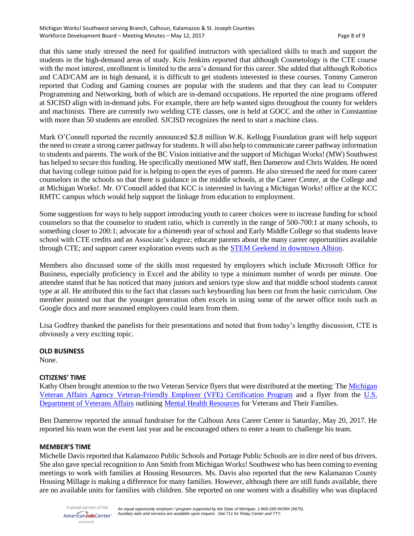that this same study stressed the need for qualified instructors with specialized skills to teach and support the students in the high-demand areas of study. Kris Jenkins reported that although Cosmetology is the CTE course with the most interest, enrollment is limited to the area's demand for this career. She added that although Robotics and CAD/CAM are in high demand, it is difficult to get students interested in these courses. Tommy Cameron reported that Coding and Gaming courses are popular with the students and that they can lead to Computer Programming and Networking, both of which are in-demand occupations. He reported the nine programs offered at SJCISD align with in-demand jobs. For example, there are help wanted signs throughout the county for welders and machinists. There are currently two welding CTE classes, one is held at GOCC and the other in Constantine with more than 50 students are enrolled. SJCISD recognizes the need to start a machine class.

Mark O'Connell reported the recently announced \$2.8 million W.K. Kellogg Foundation grant will help support the need to create a strong career pathway for students. It will also help to communicate career pathway information to students and parents. The work of the BC Vision initiative and the support of Michigan Works! (MW) Southwest has helped to secure this funding. He specifically mentioned MW staff, Ben Damerow and Chris Walden. He noted that having college tuition paid for is helping to open the eyes of parents. He also stressed the need for more career counselors in the schools so that there is guidance in the middle schools, at the Career Center, at the College and at Michigan Works!. Mr. O'Connell added that KCC is interested in having a Michigan Works! office at the KCC RMTC campus which would help support the linkage from education to employment.

Some suggestions for ways to help support introducing youth to career choices were to increase funding for school counselors so that the counselor to student ratio, which is currently in the range of 500-700:1 at many schools, to something closer to 200:1; advocate for a thirteenth year of school and Early Middle College so that students leave school with CTE credits and an Associate's degree; educate parents about the many career opportunities available through CTE; and support career exploration events such as th[e STEM Geekend in downtown Albion.](http://www.marshall.k12.mi.us/STEMGeekend.aspx)

Members also discussed some of the skills most requested by employers which include Microsoft Office for Business, especially proficiency in Excel and the ability to type a minimum number of words per minute. One attendee stated that he has noticed that many juniors and seniors type slow and that middle school students cannot type at all. He attributed this to the fact that classes such keyboarding has been cut from the basic curriculum. One member pointed out that the younger generation often excels in using some of the newer office tools such as Google docs and more seasoned employees could learn from them.

Lisa Godfrey thanked the panelists for their presentations and noted that from today's lengthy discussion, CTE is obviously a very exciting topic.

# **OLD BUSINESS**

None.

# **CITIZENS' TIME**

Kathy Olsen brought attention to the two Veteran Service flyers that were distributed at the meeting: The Michigan [Veteran Affairs Agency Veteran-Friendly Employer \(VFE\) Certification Program](http://www.michiganworkssouthwest.org/files/VeteranFriendlyEmployerCertification-Summary.pdf) and a flyer from the [U.S.](https://www.va.gov/)  [Department of Veterans Affairs](https://www.va.gov/) outlining [Mental Health Resources](https://www.mentalhealth.va.gov/) for Veterans and Their Families.

Ben Damerow reported the annual fundraiser for the Calhoun Area Career Center is Saturday, May 20, 2017. He reported his team won the event last year and he encouraged others to enter a team to challenge his team.

#### **MEMBER'S TIME**

Michelle Davis reported that Kalamazoo Public Schools and Portage Public Schools are in dire need of bus drivers. She also gave special recognition to Ann Smith from Michigan Works! Southwest who has been coming to evening meetings to work with families at Housing Resources. Ms. Davis also reported that the new Kalamazoo County Housing Millage is making a difference for many families. However, although there are still funds available, there are no available units for families with children. She reported on one women with a disability who was displaced